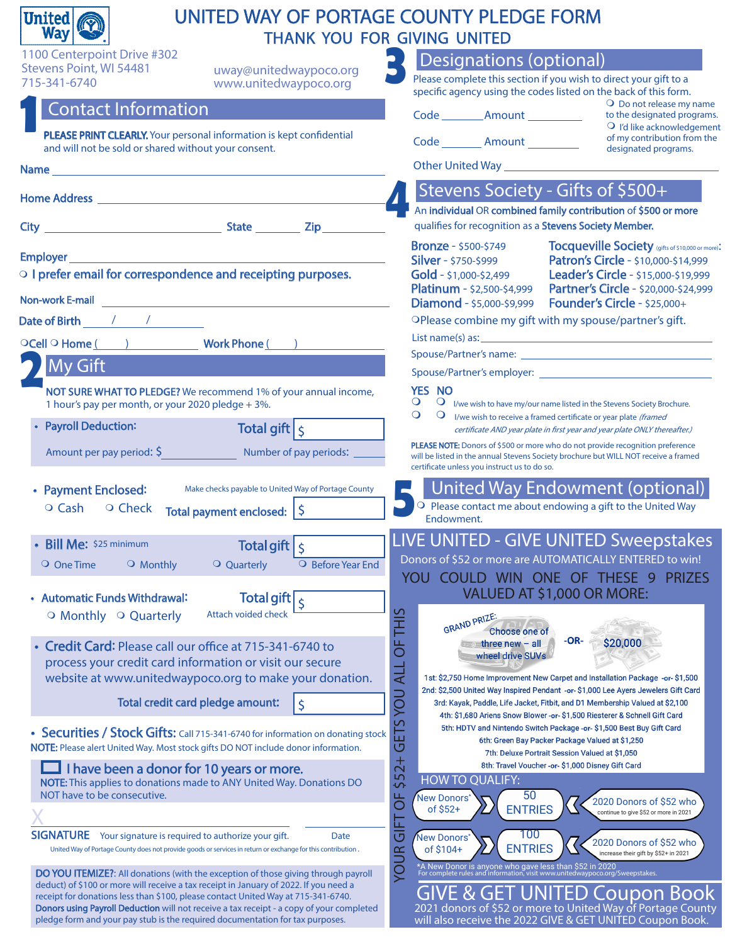| UNITED WAY OF PORTAGE COUNTY PLEDGE FORM<br><b>United</b><br><b>Way</b>                                                                                                    |                                                                                                                                                                                                                                      |
|----------------------------------------------------------------------------------------------------------------------------------------------------------------------------|--------------------------------------------------------------------------------------------------------------------------------------------------------------------------------------------------------------------------------------|
| 1100 Centerpoint Drive #302                                                                                                                                                | THANK YOU FOR GIVING UNITED                                                                                                                                                                                                          |
| Stevens Point, WI 54481<br>uway@unitedwaypoco.org                                                                                                                          | Designations (optional)                                                                                                                                                                                                              |
| 715-341-6740<br>www.unitedwaypoco.org                                                                                                                                      | Please complete this section if you wish to direct your gift to a<br>specific agency using the codes listed on the back of this form.                                                                                                |
| <b>Contact Information</b>                                                                                                                                                 | $\overline{O}$ Do not release my name<br>Code _________ Amount __________<br>to the designated programs.                                                                                                                             |
| PLEASE PRINT CLEARLY. Your personal information is kept confidential                                                                                                       | O I'd like acknowledgement<br>of my contribution from the                                                                                                                                                                            |
| and will not be sold or shared without your consent.                                                                                                                       | Code ________ Amount _________<br>designated programs.                                                                                                                                                                               |
|                                                                                                                                                                            | Other United Way <b>Contract Contract Contract Contract Contract Contract Contract Contract Contract Contract Contract Contract Contract Contract Contract Contract Contract Contract Contract Contract Contract Contract Contra</b> |
| Home Address <b>Access Exercise 2018</b>                                                                                                                                   | Stevens Society - Gifts of \$500+                                                                                                                                                                                                    |
|                                                                                                                                                                            | An individual OR combined family contribution of \$500 or more                                                                                                                                                                       |
|                                                                                                                                                                            | qualifies for recognition as a Stevens Society Member.                                                                                                                                                                               |
| Employer                                                                                                                                                                   | <b>Tocqueville Society</b> (gifts of \$10,000 or more):<br><b>Bronze</b> - \$500-\$749<br>Patron's Circle - \$10,000-\$14,999<br><b>Silver</b> - \$750-\$999                                                                         |
| O I prefer email for correspondence and receipting purposes.                                                                                                               | Leader's Circle - \$15,000-\$19,999<br>Gold - \$1,000-\$2,499                                                                                                                                                                        |
| <b>Non-work E-mail</b>                                                                                                                                                     | <b>Platinum</b> - \$2,500-\$4,999<br>Partner's Circle - \$20,000-\$24,999                                                                                                                                                            |
| Date of Birth 2007/2008                                                                                                                                                    | <b>Founder's Circle - \$25,000+</b><br><b>Diamond</b> - \$5,000-\$9,999<br>OPlease combine my gift with my spouse/partner's gift.                                                                                                    |
|                                                                                                                                                                            | List name(s) as: example and the state of the state of the state of the state of the state of the state of the                                                                                                                       |
| OCell O Home ( ) Work Phone ( )                                                                                                                                            |                                                                                                                                                                                                                                      |
| <b>My Gift</b>                                                                                                                                                             |                                                                                                                                                                                                                                      |
| NOT SURE WHAT TO PLEDGE? We recommend 1% of your annual income,                                                                                                            | YES NO                                                                                                                                                                                                                               |
| 1 hour's pay per month, or your 2020 pledge + 3%.                                                                                                                          | $\circ$<br>$\mathbf{Q}$ I/we wish to have my/our name listed in the Stevens Society Brochure.<br>$\circ$<br>$\circ$<br>I/we wish to receive a framed certificate or year plate (framed                                               |
| <b>Payroll Deduction:</b><br>Total gift $\vert \varsigma \vert$                                                                                                            | certificate AND year plate in first year and year plate ONLY thereafter.)                                                                                                                                                            |
| Amount per pay period: $\frac{1}{2}$<br>Number of pay periods:                                                                                                             | <b>PLEASE NOTE:</b> Donors of \$500 or more who do not provide recognition preference<br>will be listed in the annual Stevens Society brochure but WILL NOT receive a framed<br>certificate unless you instruct us to do so.         |
| • Payment Enclosed:<br>Make checks payable to United Way of Portage County                                                                                                 | United Way Endowment (optional)                                                                                                                                                                                                      |
| O Cash<br>○ Check<br>Total payment enclosed: $\frac{1}{2}$                                                                                                                 | O Please contact me about endowing a gift to the United Way                                                                                                                                                                          |
|                                                                                                                                                                            | Endowment.                                                                                                                                                                                                                           |
| <b>Total gift</b> $\sqrt{\frac{1}{2}}$<br><b>Bill Me:</b> \$25 minimum                                                                                                     | <b>LIVE UNITED - GIVE UNITED Sweepstakes</b>                                                                                                                                                                                         |
| O Before Year End<br>O One Time<br>O Monthly<br>$\overline{O}$ Quarterly                                                                                                   | Donors of \$52 or more are AUTOMATICALLY ENTERED to win!                                                                                                                                                                             |
|                                                                                                                                                                            | COULD WIN ONE OF THESE 9<br><b>PRIZES</b><br><b>YOU</b><br>VALUED AT \$1,000 OR MORE:                                                                                                                                                |
| Total gift<br>• Automatic Funds Withdrawal:<br>$\mathsf{\dot{S}}$<br><b>Attach voided check</b><br>O Monthly O Quarterly                                                   |                                                                                                                                                                                                                                      |
|                                                                                                                                                                            | <b>THIS</b><br>GRAND PRIZE:<br>Choose one of                                                                                                                                                                                         |
| Credit Card: Please call our office at 715-341-6740 to                                                                                                                     | $-OR-$<br>\$20,000<br>5C<br>three $new - all$<br>wheel drive SUVs                                                                                                                                                                    |
| process your credit card information or visit our secure<br>website at www.unitedwaypoco.org to make your donation.                                                        | <b>ALL</b><br>1st: \$2,750 Home Improvement New Carpet and Installation Package -or- \$1,500                                                                                                                                         |
|                                                                                                                                                                            | 2nd: \$2,500 United Way Inspired Pendant -or- \$1,000 Lee Ayers Jewelers Gift Card                                                                                                                                                   |
| Total credit card pledge amount:<br>\$                                                                                                                                     | 3rd: Kayak, Paddle, Life Jacket, Fitbit, and D1 Membership Valued at \$2,100<br>4th: \$1,680 Ariens Snow Blower - or- \$1,500 Riesterer & Schnell Gift Card                                                                          |
| • Securities / Stock Gifts: Call 715-341-6740 for information on donating stock                                                                                            | ETS YOU<br>5th: HDTV and Nintendo Switch Package -or- \$1,500 Best Buy Gift Card                                                                                                                                                     |
| NOTE: Please alert United Way. Most stock gifts DO NOT include donor information.                                                                                          | 6th: Green Bay Packer Package Valued at \$1,250<br>ত<br>7th: Deluxe Portrait Session Valued at \$1,050                                                                                                                               |
| I have been a donor for 10 years or more.                                                                                                                                  | $$52+$<br>8th: Travel Voucher - or- \$1,000 Disney Gift Card                                                                                                                                                                         |
| NOTE: This applies to donations made to ANY United Way. Donations DO<br>NOT have to be consecutive.                                                                        | <b>HOW TO QUALIFY:</b><br>50<br>New Donors'                                                                                                                                                                                          |
|                                                                                                                                                                            | ð<br>2020 Donors of \$52 who<br>of $$52+$<br><b>ENTRIES</b><br>continue to give \$52 or more in 2021                                                                                                                                 |
| <b>SIGNATURE</b><br>Your signature is required to authorize your gift.<br>Date                                                                                             | 匝<br>$\overline{\mathbb{G}}$<br>100<br>New Donors*                                                                                                                                                                                   |
| United Way of Portage County does not provide goods or services in return or exchange for this contribution.                                                               | 2020 Donors of \$52 who<br><b>ENTRIES</b><br>of \$104+<br>ncrease their gift by \$52+ in 2021                                                                                                                                        |
| <b>DO YOU ITEMIZE?:</b> All donations (with the exception of those giving through payroll                                                                                  | <b>YOUR</b><br>*A New Donor is anyone who gave less than \$52 in 2020<br>For complete rules and information, visit www.unitedwaypoco.org/Sweepstakes.                                                                                |
| deduct) of \$100 or more will receive a tax receipt in January of 2022. If you need a<br>receipt for donations less than \$100, please contact United Way at 715-341-6740. | VE & GET UNITED Coupon Book                                                                                                                                                                                                          |
| Donors using Payroll Deduction will not receive a tax receipt - a copy of your completed<br>pledge form and your pay stub is the required documentation for tax purposes.  | 2021 donors of \$52 or more to United Way of Portage County<br>will also receive the 2022 GIVE & GET UNITED Coupon Book.                                                                                                             |
|                                                                                                                                                                            |                                                                                                                                                                                                                                      |